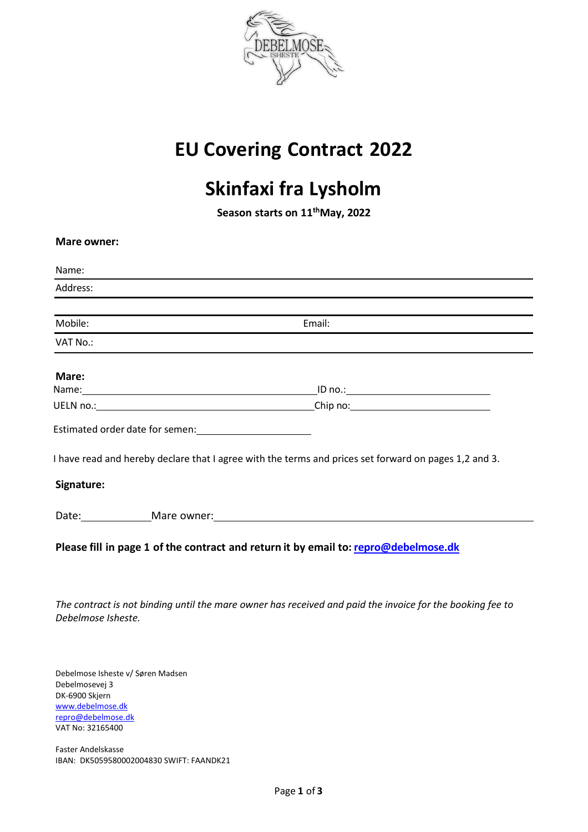

## **EU Covering Contract 2022**

# **Skinfaxi fra Lysholm**

**Season starts on 11thMay, 2022**

| <b>Mare owner:</b>                                               |                                                                                                                                        |
|------------------------------------------------------------------|----------------------------------------------------------------------------------------------------------------------------------------|
| Name:                                                            |                                                                                                                                        |
| Address:                                                         |                                                                                                                                        |
| Mobile:                                                          | Email:                                                                                                                                 |
| VAT No.:                                                         |                                                                                                                                        |
| Mare:                                                            |                                                                                                                                        |
|                                                                  |                                                                                                                                        |
|                                                                  |                                                                                                                                        |
| Signature:                                                       | I have read and hereby declare that I agree with the terms and prices set forward on pages 1,2 and 3.<br>Date: Mare owner: Mare owner: |
|                                                                  | Please fill in page 1 of the contract and return it by email to: repro@debelmose.dk                                                    |
| Debelmose Isheste.                                               | The contract is not binding until the mare owner has received and paid the invoice for the booking fee to                              |
| Debelmose Isheste v/ Søren Madsen<br>Brade a basic a consistence |                                                                                                                                        |

Debelmosevej 3 DK-6900 Skjern [www.debelmose.d](http://www.debelmose.d/)[k](mailto:repro@debelmose.dk)  [repro@debelmose.dk](mailto:repro@debelmose.dk)  VAT No: 32165400

Faster Andelskasse IBAN: DK5059580002004830 SWIFT: FAANDK21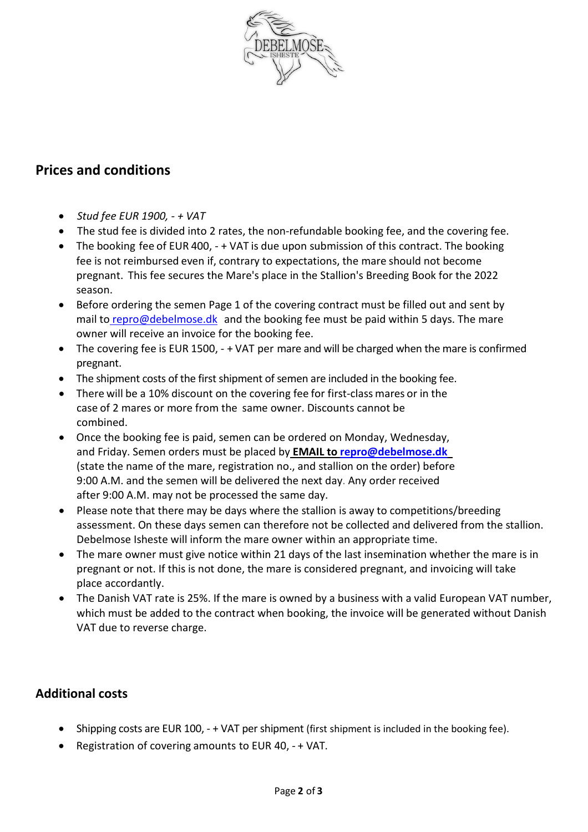

### **Prices and conditions**

- *Stud fee EUR 1900, + VAT*
- The stud fee is divided into 2 rates, the non-refundable booking fee, and the covering fee.
- The booking fee of EUR 400,  $-$  + VAT is due upon submission of this contract. The booking fee is not reimbursed even if, contrary to expectations, the mare should not become pregnant. This fee secures the Mare's place in the Stallion's Breeding Book for the 2022 season.
- Before ordering the semen Page 1 of the covering contract must be filled out and sent by mail to [repro@debelmose.dk](mailto:repro@debelmose.dk) and the booking fee must be paid within 5 days. The mare owner will receive an invoice for the booking fee.
- The covering fee is EUR 1500, + VAT per mare and will be charged when the mare is confirmed pregnant.
- The shipment costs of the first shipment of semen are included in the booking fee.
- There will be a 10% discount on the covering fee for first-class mares or in the case of 2 mares or more from the same owner. Discounts cannot be combined.
- Once the booking fee is paid, semen can be ordered on Monday, Wednesday, and Friday. Semen orders must be placed by **EMAIL to [repro@debelmose.dk](mailto:repro@debelmose.dk)**  (state the name of the mare, registration no., and stallion on the order) before 9:00 A.M. and the semen will be delivered the next day. Any order received after 9:00 A.M. may not be processed the same day.
- Please note that there may be days where the stallion is away to competitions/breeding assessment. On these days semen can therefore not be collected and delivered from the stallion. Debelmose Isheste will inform the mare owner within an appropriate time.
- The mare owner must give notice within 21 days of the last insemination whether the mare is in pregnant or not. If this is not done, the mare is considered pregnant, and invoicing will take place accordantly.
- The Danish VAT rate is 25%. If the mare is owned by a business with a valid European VAT number, which must be added to the contract when booking, the invoice will be generated without Danish VAT due to reverse charge.

#### **Additional costs**

- Shipping costs are EUR 100, + VAT per shipment (first shipment is included in the booking fee).
- Registration of covering amounts to EUR 40, + VAT.